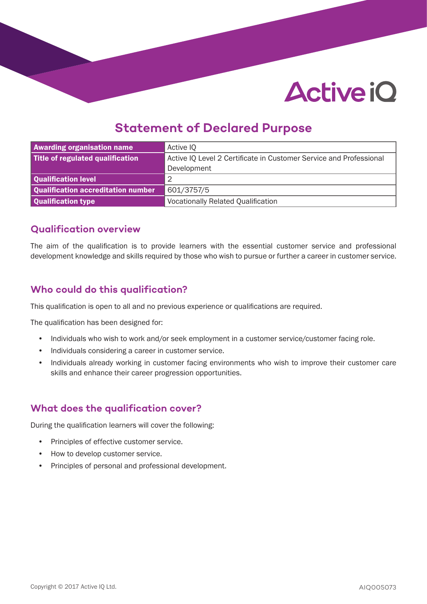# **Active iQ**

## **Statement of Declared Purpose**

| <b>Awarding organisation name</b>  | Active IQ                                                          |  |
|------------------------------------|--------------------------------------------------------------------|--|
| Title of regulated qualification   | Active IQ Level 2 Certificate in Customer Service and Professional |  |
|                                    | Development                                                        |  |
| Qualification level                | $\overline{2}$                                                     |  |
| Qualification accreditation number | 601/3757/5                                                         |  |
| Qualification type                 | <b>Vocationally Related Qualification</b>                          |  |

#### **Qualification overview**

The aim of the qualification is to provide learners with the essential customer service and professional development knowledge and skills required by those who wish to pursue or further a career in customer service.

#### **Who could do this qualification?**

This qualification is open to all and no previous experience or qualifications are required.

The qualification has been designed for:

- Individuals who wish to work and/or seek employment in a customer service/customer facing role.
- Individuals considering a career in customer service.
- Individuals already working in customer facing environments who wish to improve their customer care skills and enhance their career progression opportunities.

#### **What does the qualification cover?**

During the qualification learners will cover the following:

- Principles of effective customer service.
- How to develop customer service.
- Principles of personal and professional development.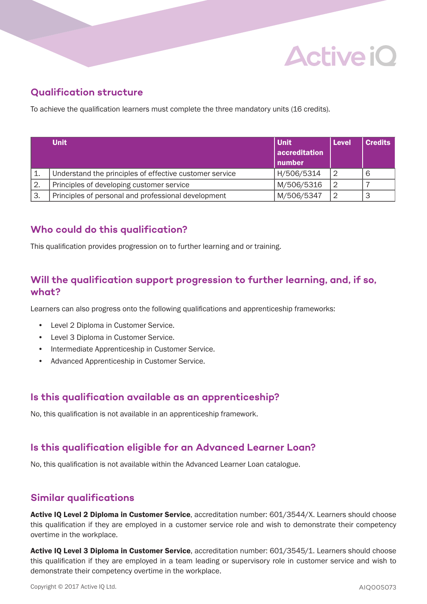

#### **Qualification structure**

To achieve the qualification learners must complete the three mandatory units (16 credits).

|    | <b>Unit</b>                                             | l Unit<br>accreditation<br>number | Level | <b>Credits</b> |
|----|---------------------------------------------------------|-----------------------------------|-------|----------------|
|    | Understand the principles of effective customer service | H/506/5314                        | 2     |                |
| 2. | Principles of developing customer service               | M/506/5316                        | 2     |                |
| 3. | Principles of personal and professional development     | M/506/5347                        | 2     |                |

#### **Who could do this qualification?**

This qualification provides progression on to further learning and or training.

#### **Will the qualification support progression to further learning, and, if so, what?**

Learners can also progress onto the following qualifications and apprenticeship frameworks:

- Level 2 Diploma in Customer Service.
- Level 3 Diploma in Customer Service.
- Intermediate Apprenticeship in Customer Service.
- Advanced Apprenticeship in Customer Service.

#### **Is this qualification available as an apprenticeship?**

No, this qualification is not available in an apprenticeship framework.

#### **Is this qualification eligible for an Advanced Learner Loan?**

No, this qualification is not available within the Advanced Learner Loan catalogue.

#### **Similar qualifications**

Active IQ Level 2 Diploma in Customer Service, accreditation number: 601/3544/X. Learners should choose this qualification if they are employed in a customer service role and wish to demonstrate their competency overtime in the workplace.

Active IQ Level 3 Diploma in Customer Service, accreditation number: 601/3545/1. Learners should choose this qualification if they are employed in a team leading or supervisory role in customer service and wish to demonstrate their competency overtime in the workplace.